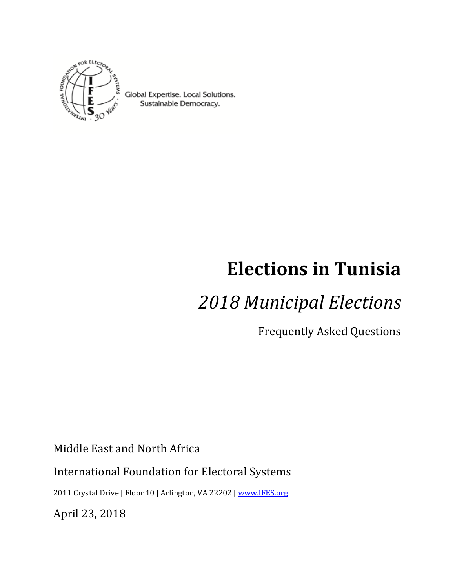

Global Expertise. Local Solutions. Sustainable Democracy.

# **Elections in Tunisia**

## *2018 Municipal Elections*

Frequently Asked Questions

Middle East and North Africa

International Foundation for Electoral Systems

2011 Crystal Drive | Floor 10 | Arlington, VA 22202 [| www.IFES.org](file:///C:/Users/max/AppData/Local/Microsoft/Windows/INetCache/Content.Outlook/T1YQVVPB/www.IFES.org)

April 23, 2018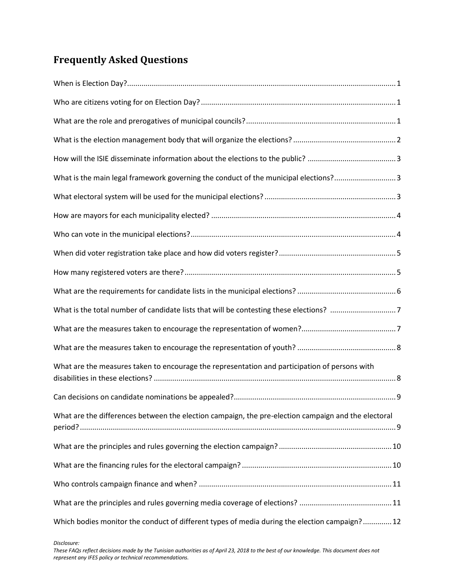## **Frequently Asked Questions**

| What is the main legal framework governing the conduct of the municipal elections?3                 |
|-----------------------------------------------------------------------------------------------------|
|                                                                                                     |
|                                                                                                     |
|                                                                                                     |
|                                                                                                     |
|                                                                                                     |
|                                                                                                     |
| What is the total number of candidate lists that will be contesting these elections? 7              |
|                                                                                                     |
|                                                                                                     |
| What are the measures taken to encourage the representation and participation of persons with       |
|                                                                                                     |
| What are the differences between the election campaign, the pre-election campaign and the electoral |
|                                                                                                     |
|                                                                                                     |
|                                                                                                     |
|                                                                                                     |
| Which bodies monitor the conduct of different types of media during the election campaign? 12       |

*Disclosure:*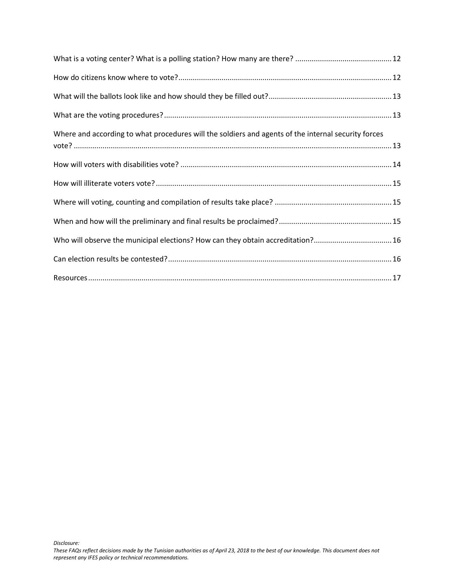| Where and according to what procedures will the soldiers and agents of the internal security forces |
|-----------------------------------------------------------------------------------------------------|
|                                                                                                     |
|                                                                                                     |
|                                                                                                     |
|                                                                                                     |
| Who will observe the municipal elections? How can they obtain accreditation?16                      |
|                                                                                                     |
|                                                                                                     |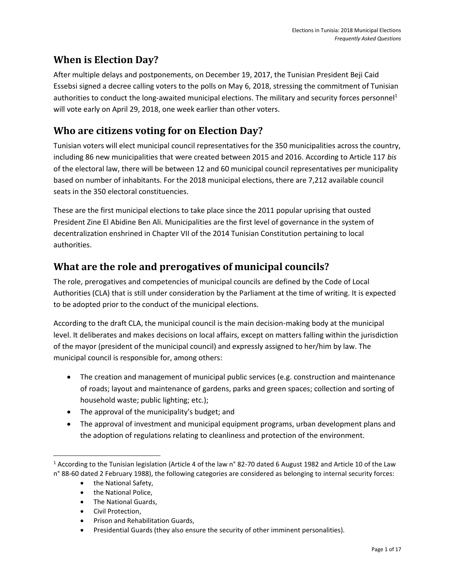## <span id="page-3-0"></span>**When is Election Day?**

After multiple delays and postponements, on December 19, 2017, the Tunisian President Beji Caid Essebsi signed a decree calling voters to the polls on May 6, 2018, stressing the commitment of Tunisian authorities to conduct the long-awaited municipal elections. The military and security forces personnel<sup>1</sup> will vote early on April 29, 2018, one week earlier than other voters.

### <span id="page-3-1"></span>**Who are citizens voting for on Election Day?**

Tunisian voters will elect municipal council representatives for the 350 municipalities across the country, including 86 new municipalities that were created between 2015 and 2016. According to Article 117 *bis* of the electoral law, there will be between 12 and 60 municipal council representatives per municipality based on number of inhabitants. For the 2018 municipal elections, there are 7,212 available council seats in the 350 electoral constituencies.

These are the first municipal elections to take place since the 2011 popular uprising that ousted President Zine El Abidine Ben Ali. Municipalities are the first level of governance in the system of decentralization enshrined in Chapter VII of the 2014 Tunisian Constitution pertaining to local authorities.

### <span id="page-3-2"></span>**What are the role and prerogatives of municipal councils?**

The role, prerogatives and competencies of municipal councils are defined by the Code of Local Authorities (CLA) that is still under consideration by the Parliament at the time of writing. It is expected to be adopted prior to the conduct of the municipal elections.

According to the draft CLA, the municipal council is the main decision-making body at the municipal level. It deliberates and makes decisions on local affairs, except on matters falling within the jurisdiction of the mayor (president of the municipal council) and expressly assigned to her/him by law. The municipal council is responsible for, among others:

- The creation and management of municipal public services (e.g. construction and maintenance of roads; layout and maintenance of gardens, parks and green spaces; collection and sorting of household waste; public lighting; etc.);
- The approval of the municipality's budget; and
- The approval of investment and municipal equipment programs, urban development plans and the adoption of regulations relating to cleanliness and protection of the environment.

• the National Safety,

 $\overline{\phantom{a}}$ 

- the National Police,
- The National Guards,
- Civil Protection,
- Prison and Rehabilitation Guards,
- Presidential Guards (they also ensure the security of other imminent personalities).

<sup>&</sup>lt;sup>1</sup> According to the Tunisian legislation (Article 4 of the law n° 82-70 dated 6 August 1982 and Article 10 of the Law n° 88-60 dated 2 February 1988), the following categories are considered as belonging to internal security forces: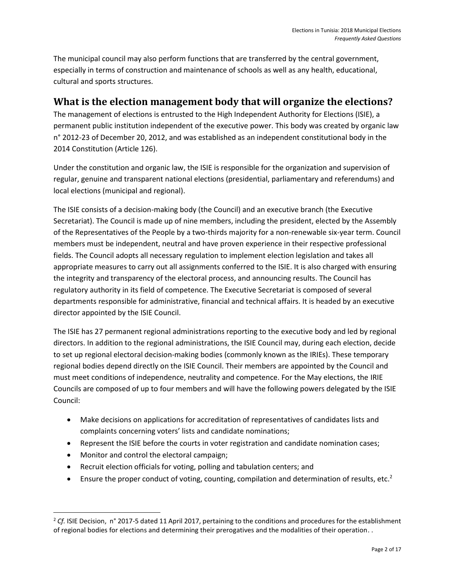The municipal council may also perform functions that are transferred by the central government, especially in terms of construction and maintenance of schools as well as any health, educational, cultural and sports structures.

#### <span id="page-4-0"></span>**What is the election management body that will organize the elections?**

The management of elections is entrusted to the High Independent Authority for Elections (ISIE), a permanent public institution independent of the executive power. This body was created by organic law n° 2012-23 of December 20, 2012, and was established as an independent constitutional body in the 2014 Constitution (Article 126).

Under the constitution and organic law, the ISIE is responsible for the organization and supervision of regular, genuine and transparent national elections (presidential, parliamentary and referendums) and local elections (municipal and regional).

The ISIE consists of a decision-making body (the Council) and an executive branch (the Executive Secretariat). The Council is made up of nine members, including the president, elected by the Assembly of the Representatives of the People by a two-thirds majority for a non-renewable six-year term. Council members must be independent, neutral and have proven experience in their respective professional fields. The Council adopts all necessary regulation to implement election legislation and takes all appropriate measures to carry out all assignments conferred to the ISIE. It is also charged with ensuring the integrity and transparency of the electoral process, and announcing results. The Council has regulatory authority in its field of competence. The Executive Secretariat is composed of several departments responsible for administrative, financial and technical affairs. It is headed by an executive director appointed by the ISIE Council.

The ISIE has 27 permanent regional administrations reporting to the executive body and led by regional directors. In addition to the regional administrations, the ISIE Council may, during each election, decide to set up regional electoral decision-making bodies (commonly known as the IRIEs). These temporary regional bodies depend directly on the ISIE Council. Their members are appointed by the Council and must meet conditions of independence, neutrality and competence. For the May elections, the IRIE Councils are composed of up to four members and will have the following powers delegated by the ISIE Council:

- Make decisions on applications for accreditation of representatives of candidates lists and complaints concerning voters' lists and candidate nominations;
- Represent the ISIE before the courts in voter registration and candidate nomination cases;
- Monitor and control the electoral campaign;

 $\overline{\phantom{a}}$ 

- Recruit election officials for voting, polling and tabulation centers; and
- **•** Ensure the proper conduct of voting, counting, compilation and determination of results, etc.<sup>2</sup>

<sup>2</sup> *Cf.* ISIE Decision, n° 2017-5 dated 11 April 2017, pertaining to the conditions and procedures for the establishment of regional bodies for elections and determining their prerogatives and the modalities of their operation. .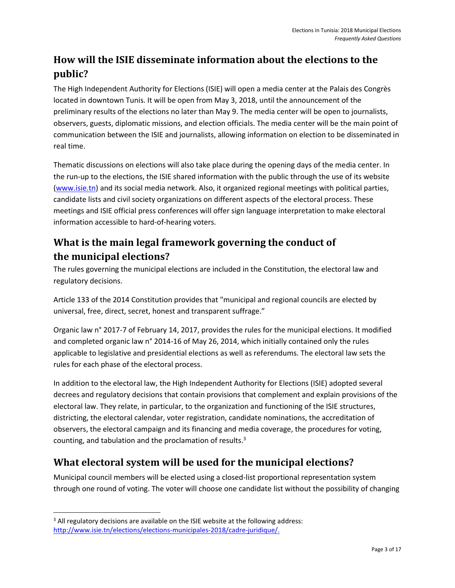## <span id="page-5-0"></span>**How will the ISIE disseminate information about the elections to the public?**

The High Independent Authority for Elections (ISIE) will open a media center at the Palais des Congrès located in downtown Tunis. It will be open from May 3, 2018, until the announcement of the preliminary results of the elections no later than May 9. The media center will be open to journalists, observers, guests, diplomatic missions, and election officials. The media center will be the main point of communication between the ISIE and journalists, allowing information on election to be disseminated in real time.

Thematic discussions on elections will also take place during the opening days of the media center. In the run-up to the elections, the ISIE shared information with the public through the use of its website [\(www.isie.tn\)](http://www.isie.tn/) and its social media network. Also, it organized regional meetings with political parties, candidate lists and civil society organizations on different aspects of the electoral process. These meetings and ISIE official press conferences will offer sign language interpretation to make electoral information accessible to hard-of-hearing voters.

## <span id="page-5-1"></span>**What is the main legal framework governing the conduct of the municipal elections?**

The rules governing the municipal elections are included in the Constitution, the electoral law and regulatory decisions.

Article 133 of the 2014 Constitution provides that "municipal and regional councils are elected by universal, free, direct, secret, honest and transparent suffrage."

Organic law n° 2017-7 of February 14, 2017, provides the rules for the municipal elections. It modified and completed organic law n° 2014-16 of May 26, 2014, which initially contained only the rules applicable to legislative and presidential elections as well as referendums. The electoral law sets the rules for each phase of the electoral process.

In addition to the electoral law, the High Independent Authority for Elections (ISIE) adopted several decrees and regulatory decisions that contain provisions that complement and explain provisions of the electoral law. They relate, in particular, to the organization and functioning of the ISIE structures, districting, the electoral calendar, voter registration, candidate nominations, the accreditation of observers, the electoral campaign and its financing and media coverage, the procedures for voting, counting, and tabulation and the proclamation of results.<sup>3</sup>

## <span id="page-5-2"></span>**What electoral system will be used for the municipal elections?**

Municipal council members will be elected using a closed-list proportional representation system through one round of voting. The voter will choose one candidate list without the possibility of changing

 $\overline{\phantom{a}}$ 

 $3$  All regulatory decisions are available on the ISIE website at the following address: [http://www.isie.tn/elections/elections-municipales-2018/cadre-juridique/.](http://www.isie.tn/elections/elections-municipales-2018/cadre-juridique/)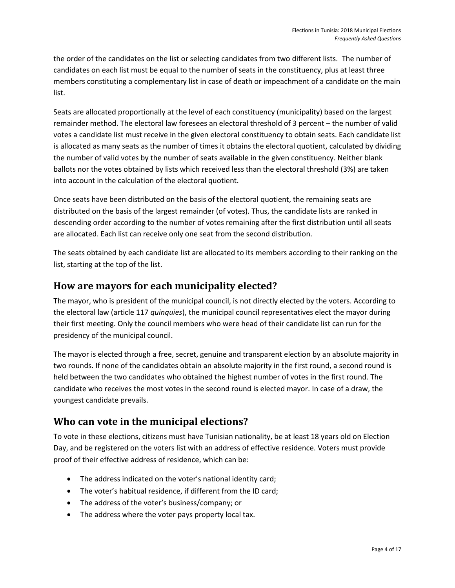the order of the candidates on the list or selecting candidates from two different lists. The number of candidates on each list must be equal to the number of seats in the constituency, plus at least three members constituting a complementary list in case of death or impeachment of a candidate on the main list.

Seats are allocated proportionally at the level of each constituency (municipality) based on the largest remainder method. The electoral law foresees an electoral threshold of 3 percent – the number of valid votes a candidate list must receive in the given electoral constituency to obtain seats. Each candidate list is allocated as many seats as the number of times it obtains the electoral quotient, calculated by dividing the number of valid votes by the number of seats available in the given constituency. Neither blank ballots nor the votes obtained by lists which received less than the electoral threshold (3%) are taken into account in the calculation of the electoral quotient.

Once seats have been distributed on the basis of the electoral quotient, the remaining seats are distributed on the basis of the largest remainder (of votes). Thus, the candidate lists are ranked in descending order according to the number of votes remaining after the first distribution until all seats are allocated. Each list can receive only one seat from the second distribution.

The seats obtained by each candidate list are allocated to its members according to their ranking on the list, starting at the top of the list.

#### <span id="page-6-0"></span>**How are mayors for each municipality elected?**

The mayor, who is president of the municipal council, is not directly elected by the voters. According to the electoral law (article 117 *quinquies*), the municipal council representatives elect the mayor during their first meeting. Only the council members who were head of their candidate list can run for the presidency of the municipal council.

The mayor is elected through a free, secret, genuine and transparent election by an absolute majority in two rounds. If none of the candidates obtain an absolute majority in the first round, a second round is held between the two candidates who obtained the highest number of votes in the first round. The candidate who receives the most votes in the second round is elected mayor. In case of a draw, the youngest candidate prevails.

## <span id="page-6-1"></span>**Who can vote in the municipal elections?**

To vote in these elections, citizens must have Tunisian nationality, be at least 18 years old on Election Day, and be registered on the voters list with an address of effective residence. Voters must provide proof of their effective address of residence, which can be:

- The address indicated on the voter's national identity card;
- The voter's habitual residence, if different from the ID card;
- The address of the voter's business/company; or
- The address where the voter pays property local tax.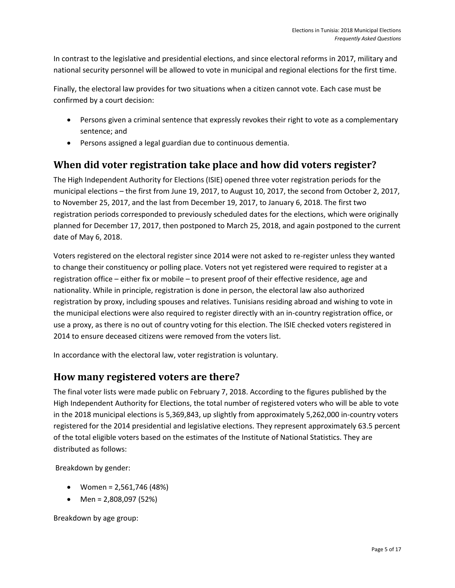In contrast to the legislative and presidential elections, and since electoral reforms in 2017, military and national security personnel will be allowed to vote in municipal and regional elections for the first time.

Finally, the electoral law provides for two situations when a citizen cannot vote. Each case must be confirmed by a court decision:

- Persons given a criminal sentence that expressly revokes their right to vote as a complementary sentence; and
- Persons assigned a legal guardian due to continuous dementia.

### <span id="page-7-0"></span>**When did voter registration take place and how did voters register?**

The High Independent Authority for Elections (ISIE) opened three voter registration periods for the municipal elections – the first from June 19, 2017, to August 10, 2017, the second from October 2, 2017, to November 25, 2017, and the last from December 19, 2017, to January 6, 2018. The first two registration periods corresponded to previously scheduled dates for the elections, which were originally planned for December 17, 2017, then postponed to March 25, 2018, and again postponed to the current date of May 6, 2018.

Voters registered on the electoral register since 2014 were not asked to re-register unless they wanted to change their constituency or polling place. Voters not yet registered were required to register at a registration office – either fix or mobile – to present proof of their effective residence, age and nationality. While in principle, registration is done in person, the electoral law also authorized registration by proxy, including spouses and relatives. Tunisians residing abroad and wishing to vote in the municipal elections were also required to register directly with an in-country registration office, or use a proxy, as there is no out of country voting for this election. The ISIE checked voters registered in 2014 to ensure deceased citizens were removed from the voters list.

In accordance with the electoral law, voter registration is voluntary.

### <span id="page-7-1"></span>**How many registered voters are there?**

The final voter lists were made public on February 7, 2018. According to the figures published by the High Independent Authority for Elections, the total number of registered voters who will be able to vote in the 2018 municipal elections is 5,369,843, up slightly from approximately 5,262,000 in-country voters registered for the 2014 presidential and legislative elections. They represent approximately 63.5 percent of the total eligible voters based on the estimates of the Institute of National Statistics. They are distributed as follows:

Breakdown by gender:

- Women =  $2,561,746$  (48%)
- Men =  $2,808,097$  (52%)

Breakdown by age group: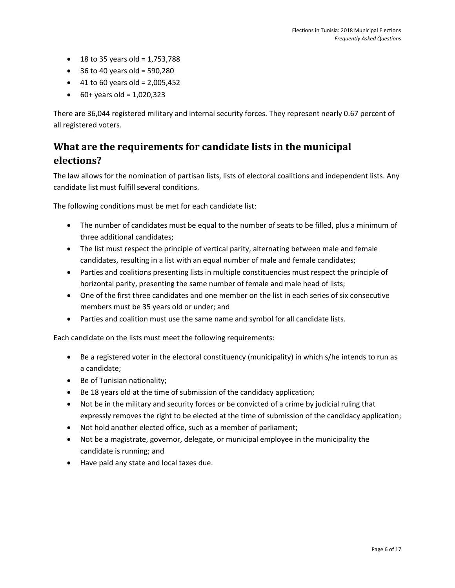- 18 to 35 years old =  $1,753,788$
- $\bullet$  36 to 40 years old = 590,280
- $\bullet$  41 to 60 years old = 2,005,452
- $\bullet$  60+ years old = 1,020,323

There are 36,044 registered military and internal security forces. They represent nearly 0.67 percent of all registered voters.

## <span id="page-8-0"></span>**What are the requirements for candidate lists in the municipal elections?**

The law allows for the nomination of partisan lists, lists of electoral coalitions and independent lists. Any candidate list must fulfill several conditions.

The following conditions must be met for each candidate list:

- The number of candidates must be equal to the number of seats to be filled, plus a minimum of three additional candidates;
- The list must respect the principle of vertical parity, alternating between male and female candidates, resulting in a list with an equal number of male and female candidates;
- Parties and coalitions presenting lists in multiple constituencies must respect the principle of horizontal parity, presenting the same number of female and male head of lists;
- One of the first three candidates and one member on the list in each series of six consecutive members must be 35 years old or under; and
- Parties and coalition must use the same name and symbol for all candidate lists.

Each candidate on the lists must meet the following requirements:

- Be a registered voter in the electoral constituency (municipality) in which s/he intends to run as a candidate;
- Be of Tunisian nationality;
- Be 18 years old at the time of submission of the candidacy application;
- Not be in the military and security forces or be convicted of a crime by judicial ruling that expressly removes the right to be elected at the time of submission of the candidacy application;
- Not hold another elected office, such as a member of parliament;
- Not be a magistrate, governor, delegate, or municipal employee in the municipality the candidate is running; and
- Have paid any state and local taxes due.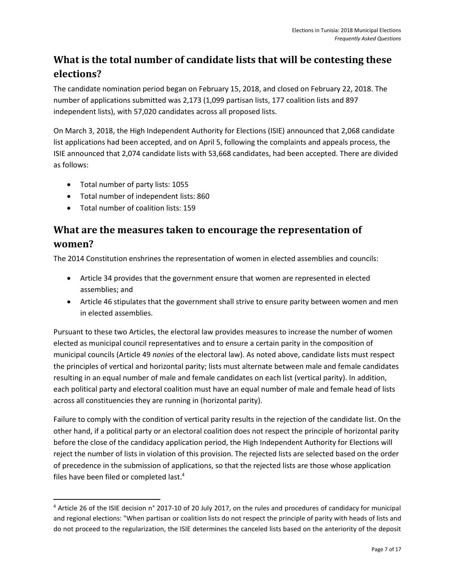## <span id="page-9-0"></span>**What is the total number of candidate lists that will be contesting these elections?**

The candidate nomination period began on February 15, 2018, and closed on February 22, 2018. The number of applications submitted was 2,173 (1,099 partisan lists, 177 coalition lists and 897 independent lists), with 57,020 candidates across all proposed lists.

On March 3, 2018, the High Independent Authority for Elections (ISIE) announced that 2,068 candidate list applications had been accepted, and on April 5, following the complaints and appeals process, the ISIE announced that 2,074 candidate lists with 53,668 candidates, had been accepted. There are divided as follows:

- Total number of party lists: 1055
- Total number of independent lists: 860
- Total number of coalition lists: 159

l

## <span id="page-9-1"></span>**What are the measures taken to encourage the representation of women?**

The 2014 Constitution enshrines the representation of women in elected assemblies and councils:

- Article 34 provides that the government ensure that women are represented in elected assemblies; and
- Article 46 stipulates that the government shall strive to ensure parity between women and men in elected assemblies.

Pursuant to these two Articles, the electoral law provides measures to increase the number of women elected as municipal council representatives and to ensure a certain parity in the composition of municipal councils (Article 49 *nonies* of the electoral law). As noted above, candidate lists must respect the principles of vertical and horizontal parity; lists must alternate between male and female candidates resulting in an equal number of male and female candidates on each list (vertical parity). In addition, each political party and electoral coalition must have an equal number of male and female head of lists across all constituencies they are running in (horizontal parity).

Failure to comply with the condition of vertical parity results in the rejection of the candidate list. On the other hand, if a political party or an electoral coalition does not respect the principle of horizontal parity before the close of the candidacy application period, the High Independent Authority for Elections will reject the number of lists in violation of this provision. The rejected lists are selected based on the order of precedence in the submission of applications, so that the rejected lists are those whose application files have been filed or completed last.<sup>4</sup>

<sup>4</sup> Article 26 of the ISIE decision n° 2017-10 of 20 July 2017, on the rules and procedures of candidacy for municipal and regional elections: "When partisan or coalition lists do not respect the principle of parity with heads of lists and do not proceed to the regularization, the ISIE determines the canceled lists based on the anteriority of the deposit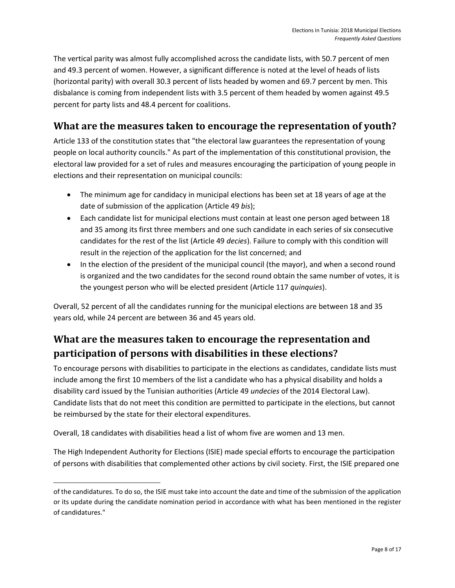The vertical parity was almost fully accomplished across the candidate lists, with 50.7 percent of men and 49.3 percent of women. However, a significant difference is noted at the level of heads of lists (horizontal parity) with overall 30.3 percent of lists headed by women and 69.7 percent by men. This disbalance is coming from independent lists with 3.5 percent of them headed by women against 49.5 percent for party lists and 48.4 percent for coalitions.

## <span id="page-10-0"></span>**What are the measures taken to encourage the representation of youth?**

Article 133 of the constitution states that "the electoral law guarantees the representation of young people on local authority councils." As part of the implementation of this constitutional provision, the electoral law provided for a set of rules and measures encouraging the participation of young people in elections and their representation on municipal councils:

- The minimum age for candidacy in municipal elections has been set at 18 years of age at the date of submission of the application (Article 49 *bis*);
- Each candidate list for municipal elections must contain at least one person aged between 18 and 35 among its first three members and one such candidate in each series of six consecutive candidates for the rest of the list (Article 49 *decies*). Failure to comply with this condition will result in the rejection of the application for the list concerned; and
- In the election of the president of the municipal council (the mayor), and when a second round is organized and the two candidates for the second round obtain the same number of votes, it is the youngest person who will be elected president (Article 117 *quinquies*).

Overall, 52 percent of all the candidates running for the municipal elections are between 18 and 35 years old, while 24 percent are between 36 and 45 years old.

## <span id="page-10-1"></span>**What are the measures taken to encourage the representation and participation of persons with disabilities in these elections?**

To encourage persons with disabilities to participate in the elections as candidates, candidate lists must include among the first 10 members of the list a candidate who has a physical disability and holds a disability card issued by the Tunisian authorities (Article 49 *undecies* of the 2014 Electoral Law). Candidate lists that do not meet this condition are permitted to participate in the elections, but cannot be reimbursed by the state for their electoral expenditures.

Overall, 18 candidates with disabilities head a list of whom five are women and 13 men.

 $\overline{a}$ 

The High Independent Authority for Elections (ISIE) made special efforts to encourage the participation of persons with disabilities that complemented other actions by civil society. First, the ISIE prepared one

of the candidatures. To do so, the ISIE must take into account the date and time of the submission of the application or its update during the candidate nomination period in accordance with what has been mentioned in the register of candidatures."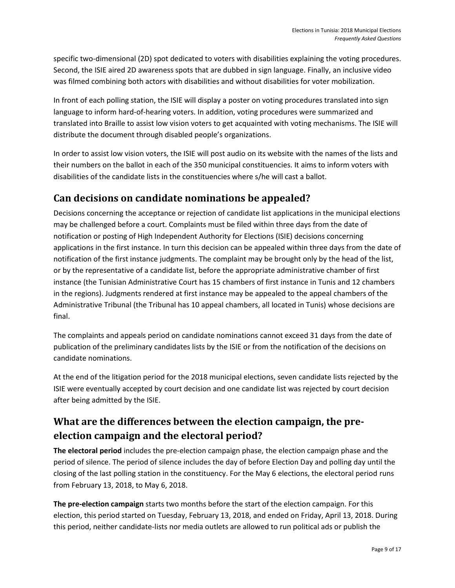specific two-dimensional (2D) spot dedicated to voters with disabilities explaining the voting procedures. Second, the ISIE aired 2D awareness spots that are dubbed in sign language. Finally, an inclusive video was filmed combining both actors with disabilities and without disabilities for voter mobilization.

In front of each polling station, the ISIE will display a poster on voting procedures translated into sign language to inform hard-of-hearing voters. In addition, voting procedures were summarized and translated into Braille to assist low vision voters to get acquainted with voting mechanisms. The ISIE will distribute the document through disabled people's organizations.

In order to assist low vision voters, the ISIE will post audio on its website with the names of the lists and their numbers on the ballot in each of the 350 municipal constituencies. It aims to inform voters with disabilities of the candidate lists in the constituencies where s/he will cast a ballot.

#### <span id="page-11-0"></span>**Can decisions on candidate nominations be appealed?**

Decisions concerning the acceptance or rejection of candidate list applications in the municipal elections may be challenged before a court. Complaints must be filed within three days from the date of notification or posting of High Independent Authority for Elections (ISIE) decisions concerning applications in the first instance. In turn this decision can be appealed within three days from the date of notification of the first instance judgments. The complaint may be brought only by the head of the list, or by the representative of a candidate list, before the appropriate administrative chamber of first instance (the Tunisian Administrative Court has 15 chambers of first instance in Tunis and 12 chambers in the regions). Judgments rendered at first instance may be appealed to the appeal chambers of the Administrative Tribunal (the Tribunal has 10 appeal chambers, all located in Tunis) whose decisions are final.

The complaints and appeals period on candidate nominations cannot exceed 31 days from the date of publication of the preliminary candidates lists by the ISIE or from the notification of the decisions on candidate nominations.

At the end of the litigation period for the 2018 municipal elections, seven candidate lists rejected by the ISIE were eventually accepted by court decision and one candidate list was rejected by court decision after being admitted by the ISIE.

## <span id="page-11-1"></span>**What are the differences between the election campaign, the preelection campaign and the electoral period?**

**The electoral period** includes the pre-election campaign phase, the election campaign phase and the period of silence. The period of silence includes the day of before Election Day and polling day until the closing of the last polling station in the constituency. For the May 6 elections, the electoral period runs from February 13, 2018, to May 6, 2018.

**The pre-election campaign** starts two months before the start of the election campaign. For this election, this period started on Tuesday, February 13, 2018, and ended on Friday, April 13, 2018. During this period, neither candidate-lists nor media outlets are allowed to run political ads or publish the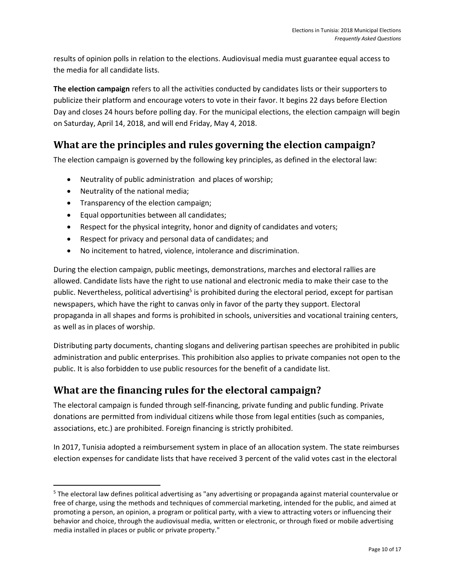results of opinion polls in relation to the elections. Audiovisual media must guarantee equal access to the media for all candidate lists.

**The election campaign** refers to all the activities conducted by candidates lists or their supporters to publicize their platform and encourage voters to vote in their favor. It begins 22 days before Election Day and closes 24 hours before polling day. For the municipal elections, the election campaign will begin on Saturday, April 14, 2018, and will end Friday, May 4, 2018.

## <span id="page-12-0"></span>**What are the principles and rules governing the election campaign?**

The election campaign is governed by the following key principles, as defined in the electoral law:

- Neutrality of public administration and places of worship;
- Neutrality of the national media;

 $\overline{\phantom{a}}$ 

- Transparency of the election campaign;
- Equal opportunities between all candidates;
- Respect for the physical integrity, honor and dignity of candidates and voters;
- Respect for privacy and personal data of candidates; and
- No incitement to hatred, violence, intolerance and discrimination.

During the election campaign, public meetings, demonstrations, marches and electoral rallies are allowed. Candidate lists have the right to use national and electronic media to make their case to the public. Nevertheless, political advertising<sup>5</sup> is prohibited during the electoral period, except for partisan newspapers, which have the right to canvas only in favor of the party they support. Electoral propaganda in all shapes and forms is prohibited in schools, universities and vocational training centers, as well as in places of worship.

Distributing party documents, chanting slogans and delivering partisan speeches are prohibited in public administration and public enterprises. This prohibition also applies to private companies not open to the public. It is also forbidden to use public resources for the benefit of a candidate list.

### <span id="page-12-1"></span>**What are the financing rules for the electoral campaign?**

The electoral campaign is funded through self-financing, private funding and public funding. Private donations are permitted from individual citizens while those from legal entities (such as companies, associations, etc.) are prohibited. Foreign financing is strictly prohibited.

In 2017, Tunisia adopted a reimbursement system in place of an allocation system. The state reimburses election expenses for candidate lists that have received 3 percent of the valid votes cast in the electoral

<sup>5</sup> The electoral law defines political advertising as "any advertising or propaganda against material countervalue or free of charge, using the methods and techniques of commercial marketing, intended for the public, and aimed at promoting a person, an opinion, a program or political party, with a view to attracting voters or influencing their behavior and choice, through the audiovisual media, written or electronic, or through fixed or mobile advertising media installed in places or public or private property."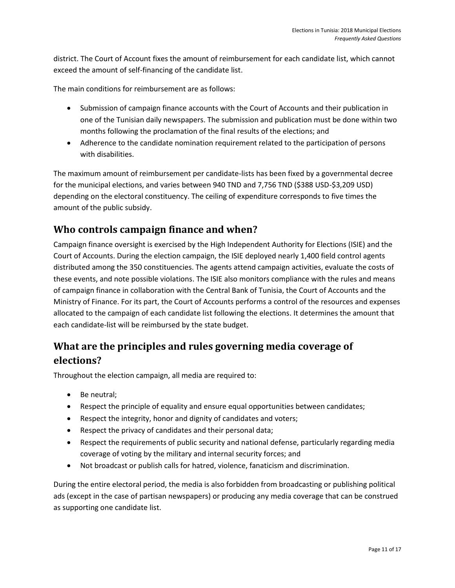district. The Court of Account fixes the amount of reimbursement for each candidate list, which cannot exceed the amount of self-financing of the candidate list.

The main conditions for reimbursement are as follows:

- Submission of campaign finance accounts with the Court of Accounts and their publication in one of the Tunisian daily newspapers. The submission and publication must be done within two months following the proclamation of the final results of the elections; and
- Adherence to the candidate nomination requirement related to the participation of persons with disabilities.

The maximum amount of reimbursement per candidate-lists has been fixed by a governmental decree for the municipal elections, and varies between 940 TND and 7,756 TND (\$388 USD-\$3,209 USD) depending on the electoral constituency. The ceiling of expenditure corresponds to five times the amount of the public subsidy.

### <span id="page-13-0"></span>**Who controls campaign finance and when?**

Campaign finance oversight is exercised by the High Independent Authority for Elections (ISIE) and the Court of Accounts. During the election campaign, the ISIE deployed nearly 1,400 field control agents distributed among the 350 constituencies. The agents attend campaign activities, evaluate the costs of these events, and note possible violations. The ISIE also monitors compliance with the rules and means of campaign finance in collaboration with the Central Bank of Tunisia, the Court of Accounts and the Ministry of Finance. For its part, the Court of Accounts performs a control of the resources and expenses allocated to the campaign of each candidate list following the elections. It determines the amount that each candidate-list will be reimbursed by the state budget.

## <span id="page-13-1"></span>**What are the principles and rules governing media coverage of elections?**

Throughout the election campaign, all media are required to:

- Be neutral;
- Respect the principle of equality and ensure equal opportunities between candidates;
- Respect the integrity, honor and dignity of candidates and voters;
- Respect the privacy of candidates and their personal data;
- Respect the requirements of public security and national defense, particularly regarding media coverage of voting by the military and internal security forces; and
- Not broadcast or publish calls for hatred, violence, fanaticism and discrimination.

During the entire electoral period, the media is also forbidden from broadcasting or publishing political ads (except in the case of partisan newspapers) or producing any media coverage that can be construed as supporting one candidate list.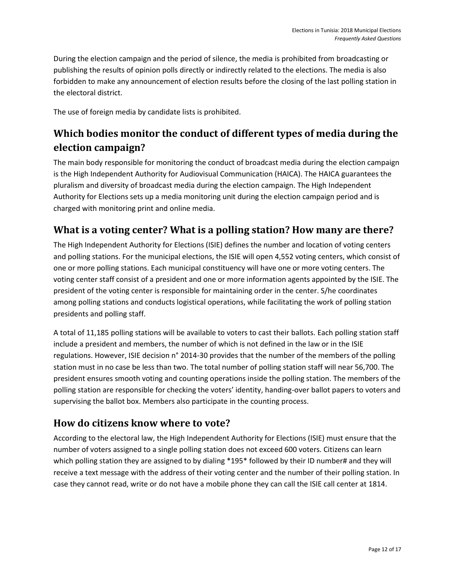During the election campaign and the period of silence, the media is prohibited from broadcasting or publishing the results of opinion polls directly or indirectly related to the elections. The media is also forbidden to make any announcement of election results before the closing of the last polling station in the electoral district.

The use of foreign media by candidate lists is prohibited.

## <span id="page-14-0"></span>**Which bodies monitor the conduct of different types of media during the election campaign?**

The main body responsible for monitoring the conduct of broadcast media during the election campaign is the High Independent Authority for Audiovisual Communication (HAICA). The HAICA guarantees the pluralism and diversity of broadcast media during the election campaign. The High Independent Authority for Elections sets up a media monitoring unit during the election campaign period and is charged with monitoring print and online media.

### <span id="page-14-1"></span>**What is a voting center? What is a polling station? How many are there?**

The High Independent Authority for Elections (ISIE) defines the number and location of voting centers and polling stations. For the municipal elections, the ISIE will open 4,552 voting centers, which consist of one or more polling stations. Each municipal constituency will have one or more voting centers. The voting center staff consist of a president and one or more information agents appointed by the ISIE. The president of the voting center is responsible for maintaining order in the center. S/he coordinates among polling stations and conducts logistical operations, while facilitating the work of polling station presidents and polling staff.

A total of 11,185 polling stations will be available to voters to cast their ballots. Each polling station staff include a president and members, the number of which is not defined in the law or in the ISIE regulations. However, ISIE decision n° 2014-30 provides that the number of the members of the polling station must in no case be less than two. The total number of polling station staff will near 56,700. The president ensures smooth voting and counting operations inside the polling station. The members of the polling station are responsible for checking the voters' identity, handing-over ballot papers to voters and supervising the ballot box. Members also participate in the counting process.

### <span id="page-14-2"></span>**How do citizens know where to vote?**

According to the electoral law, the High Independent Authority for Elections (ISIE) must ensure that the number of voters assigned to a single polling station does not exceed 600 voters. Citizens can learn which polling station they are assigned to by dialing \*195\* followed by their ID number# and they will receive a text message with the address of their voting center and the number of their polling station. In case they cannot read, write or do not have a mobile phone they can call the ISIE call center at 1814.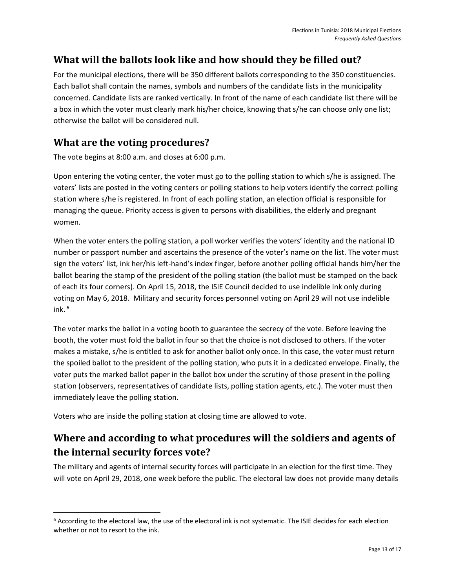## <span id="page-15-0"></span>**What will the ballots look like and how should they be filled out?**

For the municipal elections, there will be 350 different ballots corresponding to the 350 constituencies. Each ballot shall contain the names, symbols and numbers of the candidate lists in the municipality concerned. Candidate lists are ranked vertically. In front of the name of each candidate list there will be a box in which the voter must clearly mark his/her choice, knowing that s/he can choose only one list; otherwise the ballot will be considered null.

## <span id="page-15-1"></span>**What are the voting procedures?**

The vote begins at 8:00 a.m. and closes at 6:00 p.m.

Upon entering the voting center, the voter must go to the polling station to which s/he is assigned. The voters' lists are posted in the voting centers or polling stations to help voters identify the correct polling station where s/he is registered. In front of each polling station, an election official is responsible for managing the queue. Priority access is given to persons with disabilities, the elderly and pregnant women.

When the voter enters the polling station, a poll worker verifies the voters' identity and the national ID number or passport number and ascertains the presence of the voter's name on the list. The voter must sign the voters' list, ink her/his left-hand's index finger, before another polling official hands him/her the ballot bearing the stamp of the president of the polling station (the ballot must be stamped on the back of each its four corners). On April 15, 2018, the ISIE Council decided to use indelible ink only during voting on May 6, 2018. Military and security forces personnel voting on April 29 will not use indelible ink. $6$ 

The voter marks the ballot in a voting booth to guarantee the secrecy of the vote. Before leaving the booth, the voter must fold the ballot in four so that the choice is not disclosed to others. If the voter makes a mistake, s/he is entitled to ask for another ballot only once. In this case, the voter must return the spoiled ballot to the president of the polling station, who puts it in a dedicated envelope. Finally, the voter puts the marked ballot paper in the ballot box under the scrutiny of those present in the polling station (observers, representatives of candidate lists, polling station agents, etc.). The voter must then immediately leave the polling station.

Voters who are inside the polling station at closing time are allowed to vote.

 $\overline{\phantom{a}}$ 

## <span id="page-15-2"></span>**Where and according to what procedures will the soldiers and agents of the internal security forces vote?**

The military and agents of internal security forces will participate in an election for the first time. They will vote on April 29, 2018, one week before the public. The electoral law does not provide many details

 $6$  According to the electoral law, the use of the electoral ink is not systematic. The ISIE decides for each election whether or not to resort to the ink.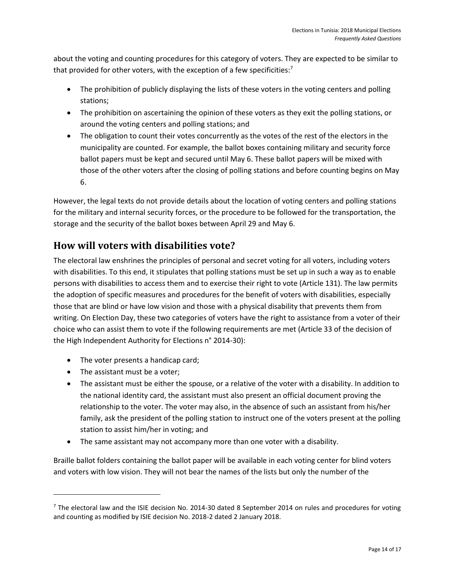about the voting and counting procedures for this category of voters. They are expected to be similar to that provided for other voters, with the exception of a few specificities: $7$ 

- The prohibition of publicly displaying the lists of these voters in the voting centers and polling stations;
- The prohibition on ascertaining the opinion of these voters as they exit the polling stations, or around the voting centers and polling stations; and
- The obligation to count their votes concurrently as the votes of the rest of the electors in the municipality are counted. For example, the ballot boxes containing military and security force ballot papers must be kept and secured until May 6. These ballot papers will be mixed with those of the other voters after the closing of polling stations and before counting begins on May 6.

However, the legal texts do not provide details about the location of voting centers and polling stations for the military and internal security forces, or the procedure to be followed for the transportation, the storage and the security of the ballot boxes between April 29 and May 6.

## <span id="page-16-0"></span>**How will voters with disabilities vote?**

The electoral law enshrines the principles of personal and secret voting for all voters, including voters with disabilities. To this end, it stipulates that polling stations must be set up in such a way as to enable persons with disabilities to access them and to exercise their right to vote (Article 131). The law permits the adoption of specific measures and procedures for the benefit of voters with disabilities, especially those that are blind or have low vision and those with a physical disability that prevents them from writing. On Election Day, these two categories of voters have the right to assistance from a voter of their choice who can assist them to vote if the following requirements are met (Article 33 of the decision of the High Independent Authority for Elections n° 2014-30):

- The voter presents a handicap card;
- The assistant must be a voter;

 $\overline{a}$ 

- The assistant must be either the spouse, or a relative of the voter with a disability. In addition to the national identity card, the assistant must also present an official document proving the relationship to the voter. The voter may also, in the absence of such an assistant from his/her family, ask the president of the polling station to instruct one of the voters present at the polling station to assist him/her in voting; and
- The same assistant may not accompany more than one voter with a disability.

Braille ballot folders containing the ballot paper will be available in each voting center for blind voters and voters with low vision. They will not bear the names of the lists but only the number of the

<sup>&</sup>lt;sup>7</sup> The electoral law and the ISIE decision No. 2014-30 dated 8 September 2014 on rules and procedures for voting and counting as modified by ISIE decision No. 2018-2 dated 2 January 2018.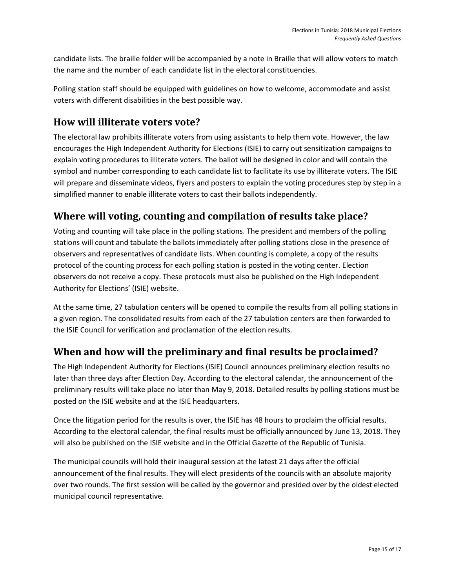candidate lists. The braille folder will be accompanied by a note in Braille that will allow voters to match the name and the number of each candidate list in the electoral constituencies.

Polling station staff should be equipped with guidelines on how to welcome, accommodate and assist voters with different disabilities in the best possible way.

## <span id="page-17-0"></span>**How will illiterate voters vote?**

The electoral law prohibits illiterate voters from using assistants to help them vote. However, the law encourages the High Independent Authority for Elections (ISIE) to carry out sensitization campaigns to explain voting procedures to illiterate voters. The ballot will be designed in color and will contain the symbol and number corresponding to each candidate list to facilitate its use by illiterate voters. The ISIE will prepare and disseminate videos, flyers and posters to explain the voting procedures step by step in a simplified manner to enable illiterate voters to cast their ballots independently.

## <span id="page-17-1"></span>**Where will voting, counting and compilation of results take place?**

Voting and counting will take place in the polling stations. The president and members of the polling stations will count and tabulate the ballots immediately after polling stations close in the presence of observers and representatives of candidate lists. When counting is complete, a copy of the results protocol of the counting process for each polling station is posted in the voting center. Election observers do not receive a copy. These protocols must also be published on the High Independent Authority for Elections' (ISIE) website.

At the same time, 27 tabulation centers will be opened to compile the results from all polling stations in a given region. The consolidated results from each of the 27 tabulation centers are then forwarded to the ISIE Council for verification and proclamation of the election results.

## <span id="page-17-2"></span>**When and how will the preliminary and final results be proclaimed?**

The High Independent Authority for Elections (ISIE) Council announces preliminary election results no later than three days after Election Day. According to the electoral calendar, the announcement of the preliminary results will take place no later than May 9, 2018. Detailed results by polling stations must be posted on the ISIE website and at the ISIE headquarters.

Once the litigation period for the results is over, the ISIE has 48 hours to proclaim the official results. According to the electoral calendar, the final results must be officially announced by June 13, 2018. They will also be published on the ISIE website and in the Official Gazette of the Republic of Tunisia.

The municipal councils will hold their inaugural session at the latest 21 days after the official announcement of the final results. They will elect presidents of the councils with an absolute majority over two rounds. The first session will be called by the governor and presided over by the oldest elected municipal council representative.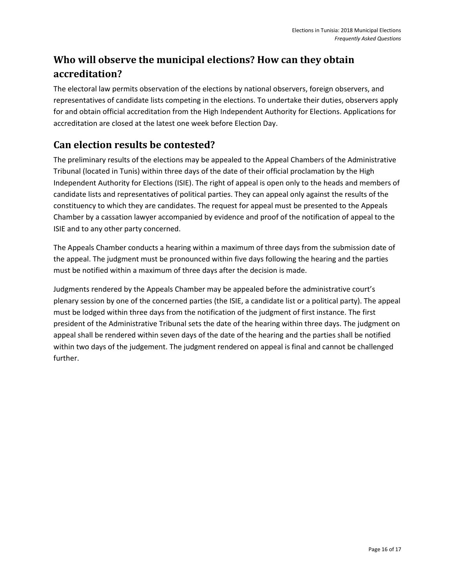## <span id="page-18-0"></span>**Who will observe the municipal elections? How can they obtain accreditation?**

The electoral law permits observation of the elections by national observers, foreign observers, and representatives of candidate lists competing in the elections. To undertake their duties, observers apply for and obtain official accreditation from the High Independent Authority for Elections. Applications for accreditation are closed at the latest one week before Election Day.

### <span id="page-18-1"></span>**Can election results be contested?**

The preliminary results of the elections may be appealed to the Appeal Chambers of the Administrative Tribunal (located in Tunis) within three days of the date of their official proclamation by the High Independent Authority for Elections (ISIE). The right of appeal is open only to the heads and members of candidate lists and representatives of political parties. They can appeal only against the results of the constituency to which they are candidates. The request for appeal must be presented to the Appeals Chamber by a cassation lawyer accompanied by evidence and proof of the notification of appeal to the ISIE and to any other party concerned.

The Appeals Chamber conducts a hearing within a maximum of three days from the submission date of the appeal. The judgment must be pronounced within five days following the hearing and the parties must be notified within a maximum of three days after the decision is made.

Judgments rendered by the Appeals Chamber may be appealed before the administrative court's plenary session by one of the concerned parties (the ISIE, a candidate list or a political party). The appeal must be lodged within three days from the notification of the judgment of first instance. The first president of the Administrative Tribunal sets the date of the hearing within three days. The judgment on appeal shall be rendered within seven days of the date of the hearing and the parties shall be notified within two days of the judgement. The judgment rendered on appeal is final and cannot be challenged further.